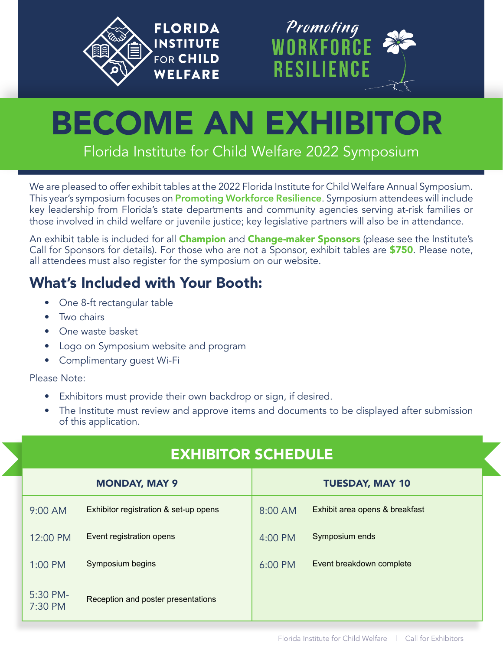



# BECOME AN EXHIBITOR

Florida Institute for Child Welfare 2022 Symposium

We are pleased to offer exhibit tables at the 2022 Florida Institute for Child Welfare Annual Symposium. This year's symposium focuses on **Promoting Workforce Resilience**. Symposium attendees will include key leadership from Florida's state departments and community agencies serving at-risk families or those involved in child welfare or juvenile justice; key legislative partners will also be in attendance.

An exhibit table is included for all **Champion** and **Change-maker Sponsors** (please see the Institute's Call for Sponsors for details). For those who are not a Sponsor, exhibit tables are \$750. Please note, all attendees must also register for the symposium on our website.

# What's Included with Your Booth:

- One 8-ft rectangular table
- Two chairs
- One waste basket
- Logo on Symposium website and program
- Complimentary guest Wi-Fi

Please Note:

- Exhibitors must provide their own backdrop or sign, if desired.
- The Institute must review and approve items and documents to be displayed after submission of this application.

# EXHIBITOR SCHEDULE

| <b>MONDAY, MAY 9</b> |                                       | <b>TUESDAY, MAY 10</b> |                                |
|----------------------|---------------------------------------|------------------------|--------------------------------|
| $9:00$ AM            | Exhibitor registration & set-up opens | 8:00 AM                | Exhibit area opens & breakfast |
| 12:00 PM             | Event registration opens              | 4:00 PM                | Symposium ends                 |
| $1:00$ PM            | Symposium begins                      | 6:00 PM                | Event breakdown complete       |
| 5:30 PM-<br>7:30 PM  | Reception and poster presentations    |                        |                                |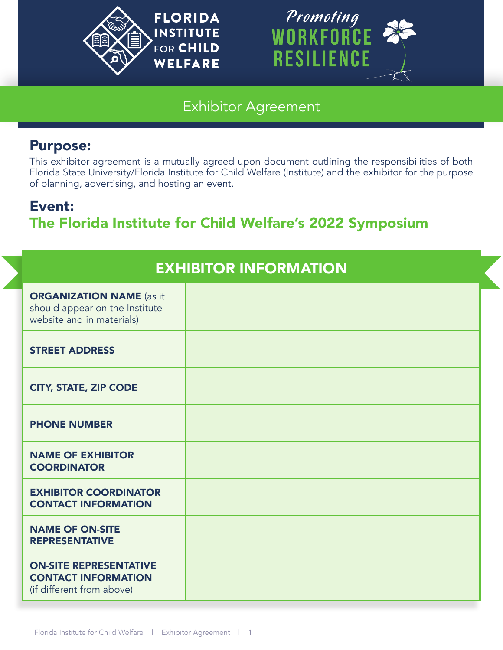



#### Exhibitor Agreement

#### Purpose:

This exhibitor agreement is a mutually agreed upon document outlining the responsibilities of both Florida State University/Florida Institute for Child Welfare (Institute) and the exhibitor for the purpose of planning, advertising, and hosting an event.

# Event: The Florida Institute for Child Welfare's 2022 Symposium

| <b>EXHIBITOR INFORMATION</b>                                                                   |  |  |  |  |
|------------------------------------------------------------------------------------------------|--|--|--|--|
| <b>ORGANIZATION NAME</b> (as it<br>should appear on the Institute<br>website and in materials) |  |  |  |  |
| <b>STREET ADDRESS</b>                                                                          |  |  |  |  |
| <b>CITY, STATE, ZIP CODE</b>                                                                   |  |  |  |  |
| <b>PHONE NUMBER</b>                                                                            |  |  |  |  |
| <b>NAME OF EXHIBITOR</b><br><b>COORDINATOR</b>                                                 |  |  |  |  |
| <b>EXHIBITOR COORDINATOR</b><br><b>CONTACT INFORMATION</b>                                     |  |  |  |  |
| <b>NAME OF ON-SITE</b><br><b>REPRESENTATIVE</b>                                                |  |  |  |  |
| <b>ON-SITE REPRESENTATIVE</b><br><b>CONTACT INFORMATION</b><br>(if different from above)       |  |  |  |  |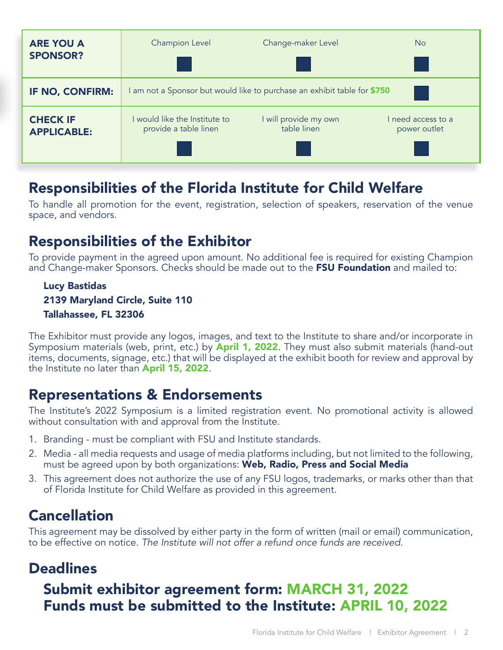| <b>ARE YOU A</b><br><b>SPONSOR?</b>   | Champion Level                                                         | Change-maker Level                   | N <sub>o</sub>                     |  |  |
|---------------------------------------|------------------------------------------------------------------------|--------------------------------------|------------------------------------|--|--|
| <b>IF NO, CONFIRM:</b>                | am not a Sponsor but would like to purchase an exhibit table for \$750 |                                      |                                    |  |  |
| <b>CHECK IF</b><br><b>APPLICABLE:</b> | would like the Institute to<br>provide a table linen                   | I will provide my own<br>table linen | I need access to a<br>power outlet |  |  |

### Responsibilities of the Florida Institute for Child Welfare

To handle all promotion for the event, registration, selection of speakers, reservation of the venue space, and vendors.

### Responsibilities of the Exhibitor

To provide payment in the agreed upon amount. No additional fee is required for existing Champion and Change-maker Sponsors. Checks should be made out to the FSU Foundation and mailed to:

#### Lucy Bastidas 2139 Maryland Circle, Suite 110 Tallahassee, FL 32306

The Exhibitor must provide any logos, images, and text to the Institute to share and/or incorporate in Symposium materials (web, print, etc.) by **April 1, 2022**. They must also submit materials (hand-out items, documents, signage, etc.) that will be displayed at the exhibit booth for review and approval by the Institute no later than **April 15, 2022**.

#### Representations & Endorsements

The Institute's 2022 Symposium is a limited registration event. No promotional activity is allowed without consultation with and approval from the Institute.

- 1. Branding must be compliant with FSU and Institute standards.
- 2. Media all media requests and usage of media platforms including, but not limited to the following, must be agreed upon by both organizations: Web, Radio, Press and Social Media
- 3. This agreement does not authorize the use of any FSU logos, trademarks, or marks other than that of Florida Institute for Child Welfare as provided in this agreement.

# Cancellation

This agreement may be dissolved by either party in the form of written (mail or email) communication, to be effective on notice. *The Institute will not offer a refund once funds are received*.

#### **Deadlines**

# Submit exhibitor agreement form: MARCH 31, 2022 Funds must be submitted to the Institute: APRIL 10, 2022